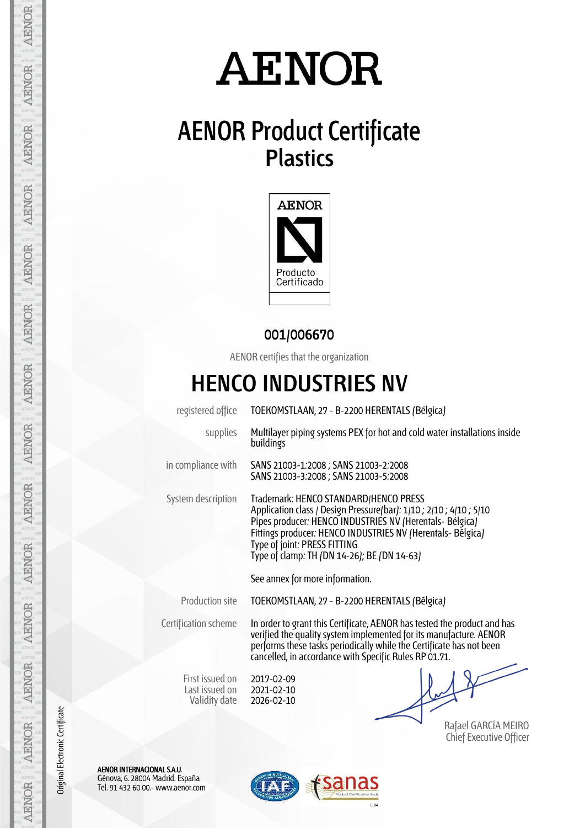# **AENOR**

## **AENOR Product Certificate Plastics**



#### **001/006670**

AENOR certifies that the organization

### **HENCO INDUSTRIES NV**

| registered office                                  | TOEKOMSTLAAN, 27 - B-2200 HERENTALS (Bélgica)                                                                                                                                                                                                                                                                          |  |  |
|----------------------------------------------------|------------------------------------------------------------------------------------------------------------------------------------------------------------------------------------------------------------------------------------------------------------------------------------------------------------------------|--|--|
| supplies                                           | Multilayer piping systems PEX for hot and cold water installations inside<br>buildings                                                                                                                                                                                                                                 |  |  |
| in compliance with                                 | SANS 21003-1:2008 ; SANS 21003-2:2008<br>SANS 21003-3:2008; SANS 21003-5:2008                                                                                                                                                                                                                                          |  |  |
| System description                                 | Trademark: HENCO STANDARD/HENCO PRESS<br>Application class / Design Pressure(bar): 1/10 ; 2/10 ; 4/10 ; 5/10<br>Pipes producer: HENCO INDUSTRIES NV (Herentals- Bélgica)<br>Fittings producer: HENCO INDUSTRIES NV (Herentals- Bélgica)<br>Type of joint: PRESS FITTING<br>Type of clamp: TH (DN 14-26); BE (DN 14-63) |  |  |
|                                                    | See annex for more information.                                                                                                                                                                                                                                                                                        |  |  |
| Production site                                    | TOEKOMSTLAAN, 27 - B-2200 HERENTALS (Bélgica)                                                                                                                                                                                                                                                                          |  |  |
| Certification scheme                               | In order to grant this Certificate, AENOR has tested the product and has<br>verified the quality system implemented for its manufacture. AENOR<br>performs these tasks periodically while the Certificate has not been<br>cancelled, in accordance with Specific Rules RP 01.71.                                       |  |  |
| First issued on<br>Last issued on<br>Validity date | 2017-02-09<br>2021-02-10<br>2026-02-10                                                                                                                                                                                                                                                                                 |  |  |
|                                                    | Rafael GARCÍA MEIRO                                                                                                                                                                                                                                                                                                    |  |  |

Chief Executive Officer

AENOR INTERNACIONAL S.A.U. Génova, 6. 28004 Madrid. España Tel. 91 432 60 00.- www.aenor.com



AENOR

**AENOR** 

**AENOR** 

**AENOR** 

AENOR

AENOR

AENOR

**AENOR** 

Original Electronic Certificate

Original Electronic Certificate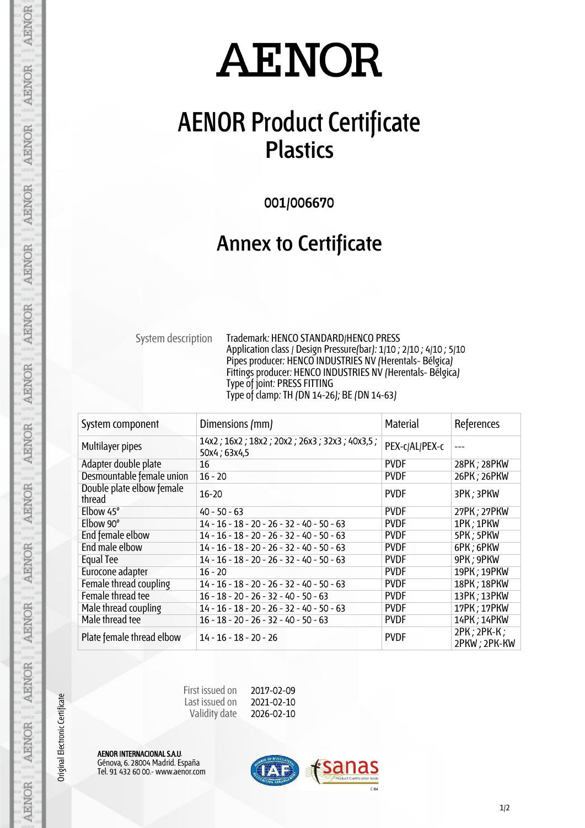# **AENOR**

### **AENOR Product Certificate Plastics**

**001/006670**

#### **Annex to Certificate**

System description Trademark: HENCO STANDARD/HENCO PRESS Application class / Design Pressure(bar): 1/10 ; 2/10 ; 4/10 ; 5/10 Pipes producer: HENCO INDUSTRIES NV (Herentals- Bélgica) Fittings producer: HENCO INDUSTRIES NV (Herentals- Bélgica) Type of joint: PRESS FITTING Type of clamp: TH (DN 14-26); BE (DN 14-63)

| System component                    | Dimensions (mm)                                              | Material       | References                        |
|-------------------------------------|--------------------------------------------------------------|----------------|-----------------------------------|
| Multilayer pipes                    | 14x2; 16x2; 18x2; 20x2; 26x3; 32x3; 40x3,5;<br>50x4 ; 63x4,5 | PEX-c/AL/PEX-c | ---                               |
| Adapter double plate                | 16                                                           | <b>PVDF</b>    | 28PK; 28PKW                       |
| Desmountable female union           | $16 - 20$                                                    | <b>PVDF</b>    | 26PK; 26PKW                       |
| Double plate elbow female<br>thread | $16 - 20$                                                    | <b>PVDF</b>    | 3PK; 3PKW                         |
| Elbow $45^\circ$                    | $40 - 50 - 63$                                               | <b>PVDF</b>    | 27PK; 27PKW                       |
| Elbow 90°                           | $14 - 16 - 18 - 20 - 26 - 32 - 40 - 50 - 63$                 | <b>PVDF</b>    | 1PK; 1PKW                         |
| End female elbow                    | 14 - 16 - 18 - 20 - 26 - 32 - 40 - 50 - 63                   | <b>PVDF</b>    | 5PK; 5PKW                         |
| End male elbow                      | 14 - 16 - 18 - 20 - 26 - 32 - 40 - 50 - 63                   | <b>PVDF</b>    | 6PK; 6PKW                         |
| Equal Tee                           | 14 - 16 - 18 - 20 - 26 - 32 - 40 - 50 - 63                   | <b>PVDF</b>    | 9PK; 9PKW                         |
| Eurocone adapter                    | $16 - 20$                                                    | <b>PVDF</b>    | 19PK; 19PKW                       |
| Female thread coupling              | $14 - 16 - 18 - 20 - 26 - 32 - 40 - 50 - 63$                 | <b>PVDF</b>    | 18PK; 18PKW                       |
| Female thread tee                   | $16 - 18 - 20 - 26 - 32 - 40 - 50 - 63$                      | <b>PVDF</b>    | 13PK; 13PKW                       |
| Male thread coupling                | 14 - 16 - 18 - 20 - 26 - 32 - 40 - 50 - 63                   | <b>PVDF</b>    | 17PK; 17PKW                       |
| Male thread tee                     | $16 - 18 - 20 - 26 - 32 - 40 - 50 - 63$                      | <b>PVDF</b>    | 14PK; 14PKW                       |
| Plate female thread elbow           | $14 - 16 - 18 - 20 - 26$                                     | <b>PVDF</b>    | $2PK$ ; $2PK-K$ ;<br>2PKW; 2PK-KW |

| First issued on | 2017-02-09 |
|-----------------|------------|
| Last issued on  | 2021-02-10 |
| Validity date   | 2026-02-10 |

AENOR INTERNACIONAL S.A.U. Génova, 6. 28004 Madrid. España Tel. 91 432 60 00.- www.aenor.com

Original Electronic Certificate